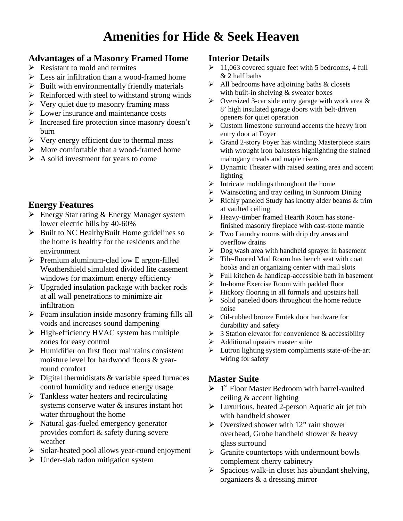# **Amenities for Hide & Seek Heaven**

#### **Advantages of a Masonry Framed Home**

- $\triangleright$  Resistant to mold and termites
- $\triangleright$  Less air infiltration than a wood-framed home
- $\triangleright$  Built with environmentally friendly materials
- $\triangleright$  Reinforced with steel to withstand strong winds
- $\triangleright$  Very quiet due to masonry framing mass
- $\triangleright$  Lower insurance and maintenance costs
- $\triangleright$  Increased fire protection since masonry doesn't burn
- $\triangleright$  Very energy efficient due to thermal mass
- $\triangleright$  More comfortable that a wood-framed home
- $\triangleright$  A solid investment for years to come

## **Energy Features**

- $\triangleright$  Energy Star rating & Energy Manager system lower electric bills by 40-60%
- $\triangleright$  Built to NC HealthyBuilt Home guidelines so the home is healthy for the residents and the environment
- $\triangleright$  Premium aluminum-clad low E argon-filled Weathershield simulated divided lite casement windows for maximum energy efficiency
- $\triangleright$  Upgraded insulation package with backer rods at all wall penetrations to minimize air infiltration
- $\triangleright$  Foam insulation inside masonry framing fills all voids and increases sound dampening
- $\triangleright$  High-efficiency HVAC system has multiple zones for easy control
- $\triangleright$  Humidifier on first floor maintains consistent moisture level for hardwood floors & yearround comfort
- $\triangleright$  Digital thermidistats & variable speed furnaces control humidity and reduce energy usage
- $\triangleright$  Tankless water heaters and recirculating systems conserve water & insures instant hot water throughout the home
- $\triangleright$  Natural gas-fueled emergency generator provides comfort & safety during severe weather
- ¾ Solar-heated pool allows year-round enjoyment
- $\triangleright$  Under-slab radon mitigation system

#### **Interior Details**

- $\geq 11,063$  covered square feet with 5 bedrooms, 4 full & 2 half baths
- $\triangleright$  All bedrooms have adjoining baths & closets with built-in shelving & sweater boxes
- $\triangleright$  Oversized 3-car side entry garage with work area & 8' high insulated garage doors with belt-driven openers for quiet operation
- $\triangleright$  Custom limestone surround accents the heavy iron entry door at Foyer
- $\triangleright$  Grand 2-story Foyer has winding Masterpiece stairs with wrought iron balusters highlighting the stained mahogany treads and maple risers
- $\triangleright$  Dynamic Theater with raised seating area and accent lighting
- $\blacktriangleright$  Intricate moldings throughout the home
- ¾ Wainscoting and tray ceiling in Sunroom Dining
- $\triangleright$  Richly paneled Study has knotty alder beams & trim at vaulted ceiling
- ¾ Heavy-timber framed Hearth Room has stonefinished masonry fireplace with cast-stone mantle
- $\triangleright$  Two Laundry rooms with drip dry areas and overflow drains
- $\triangleright$  Dog wash area with handheld sprayer in basement
- ¾ Tile-floored Mud Room has bench seat with coat hooks and an organizing center with mail slots
- $\triangleright$  Full kitchen & handicap-accessible bath in basement
- $\triangleright$  In-home Exercise Room with padded floor
- ¾ Hickory flooring in all formals and upstairs hall
- $\triangleright$  Solid paneled doors throughout the home reduce noise
- ¾ Oil-rubbed bronze Emtek door hardware for durability and safety
- $\geq 3$  Station elevator for convenience & accessibility
- $\triangleright$  Additional upstairs master suite
- ¾ Lutron lighting system compliments state-of-the-art wiring for safety

## **Master Suite**

- $\geq 1^{st}$  Floor Master Bedroom with barrel-vaulted ceiling & accent lighting
- $\triangleright$  Luxurious, heated 2-person Aquatic air jet tub with handheld shower
- $\triangleright$  Oversized shower with 12" rain shower overhead, Grohe handheld shower & heavy glass surround
- $\triangleright$  Granite countertops with undermount bowls complement cherry cabinetry
- $\triangleright$  Spacious walk-in closet has abundant shelving, organizers & a dressing mirror